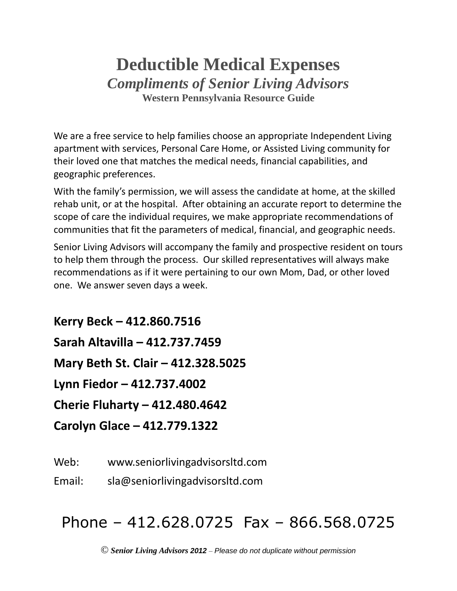## **Deductible Medical Expenses** *Compliments of Senior Living Advisors* **Western Pennsylvania Resource Guide**

We are a free service to help families choose an appropriate Independent Living apartment with services, Personal Care Home, or Assisted Living community for their loved one that matches the medical needs, financial capabilities, and geographic preferences.

With the family's permission, we will assess the candidate at home, at the skilled rehab unit, or at the hospital. After obtaining an accurate report to determine the scope of care the individual requires, we make appropriate recommendations of communities that fit the parameters of medical, financial, and geographic needs.

Senior Living Advisors will accompany the family and prospective resident on tours to help them through the process. Our skilled representatives will always make recommendations as if it were pertaining to our own Mom, Dad, or other loved one. We answer seven days a week.

**Kerry Beck – 412.860.7516 Sarah Altavilla – 412.737.7459 Mary Beth St. Clair – 412.328.5025 Lynn Fiedor – 412.737.4002 Cherie Fluharty – 412.480.4642 Carolyn Glace – 412.779.1322**

Web: www.seniorlivingadvisorsltd.com

Email: sla@seniorlivingadvisorsltd.com

## Phone – 412.628.0725 Fax – 866.568.0725

© *Senior Living Advisors 2012* – *Please do not duplicate without permission*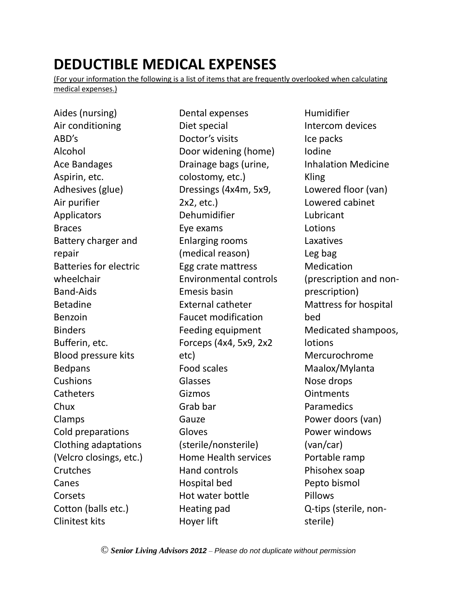## **DEDUCTIBLE MEDICAL EXPENSES**

(For your information the following is a list of items that are frequently overlooked when calculating medical expenses.)

Aides (nursing) Air conditioning ABD's Alcohol Ace Bandages Aspirin, etc. Adhesives (glue) Air purifier Applicators Braces Battery charger and repair Batteries for electric wheelchair Band-Aids Betadine Benzoin Binders Bufferin, etc. Blood pressure kits Bedpans Cushions **Catheters** Chux Clamps Cold preparations Clothing adaptations (Velcro closings, etc.) **Crutches** Canes Corsets Cotton (balls etc.) Clinitest kits

Dental expenses Diet special Doctor's visits Door widening (home) Drainage bags (urine, colostomy, etc.) Dressings (4x4m, 5x9, 2x2, etc.) Dehumidifier Eye exams Enlarging rooms (medical reason) Egg crate mattress Environmental controls Emesis basin External catheter Faucet modification Feeding equipment Forceps (4x4, 5x9, 2x2 etc) Food scales Glasses Gizmos Grab bar Gauze Gloves (sterile/nonsterile) Home Health services Hand controls Hospital bed Hot water bottle Heating pad Hoyer lift

Humidifier Intercom devices Ice packs Iodine Inhalation Medicine Kling Lowered floor (van) Lowered cabinet Lubricant **Lotions** Laxatives Leg bag Medication (prescription and nonprescription) Mattress for hospital bed Medicated shampoos, lotions Mercurochrome Maalox/Mylanta Nose drops **Ointments Paramedics** Power doors (van) Power windows (van/car) Portable ramp Phisohex soap Pepto bismol Pillows Q-tips (sterile, nonsterile)